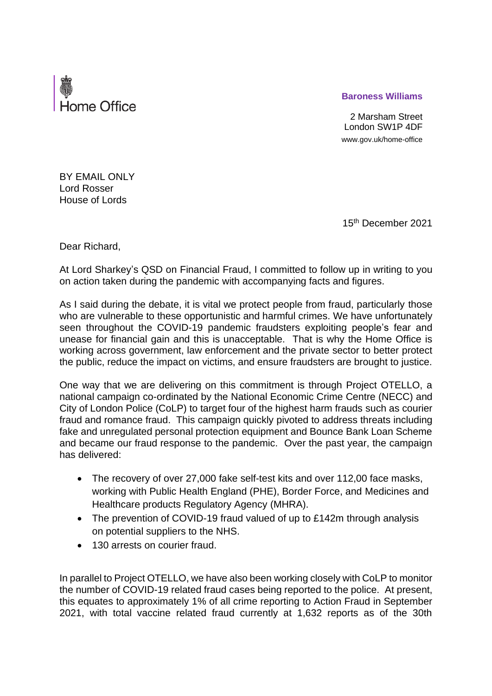

## **Baroness Williams**

2 Marsham Street London SW1P 4DF www.gov.uk/home-office

BY EMAIL ONLY Lord Rosser House of Lords

15th December 2021

Dear Richard,

At Lord Sharkey's QSD on Financial Fraud, I committed to follow up in writing to you on action taken during the pandemic with accompanying facts and figures.

As I said during the debate, it is vital we protect people from fraud, particularly those who are vulnerable to these opportunistic and harmful crimes. We have unfortunately seen throughout the COVID-19 pandemic fraudsters exploiting people's fear and unease for financial gain and this is unacceptable. That is why the Home Office is working across government, law enforcement and the private sector to better protect the public, reduce the impact on victims, and ensure fraudsters are brought to justice.

One way that we are delivering on this commitment is through Project OTELLO, a national campaign co-ordinated by the National Economic Crime Centre (NECC) and City of London Police (CoLP) to target four of the highest harm frauds such as courier fraud and romance fraud. This campaign quickly pivoted to address threats including fake and unregulated personal protection equipment and Bounce Bank Loan Scheme and became our fraud response to the pandemic. Over the past year, the campaign has delivered:

- The recovery of over 27,000 fake self-test kits and over 112,00 face masks, working with Public Health England (PHE), Border Force, and Medicines and Healthcare products Regulatory Agency (MHRA).
- The prevention of COVID-19 fraud valued of up to £142m through analysis on potential suppliers to the NHS.
- 130 arrests on courier fraud.

In parallel to Project OTELLO, we have also been working closely with CoLP to monitor the number of COVID-19 related fraud cases being reported to the police. At present, this equates to approximately 1% of all crime reporting to Action Fraud in September 2021, with total vaccine related fraud currently at 1,632 reports as of the 30th